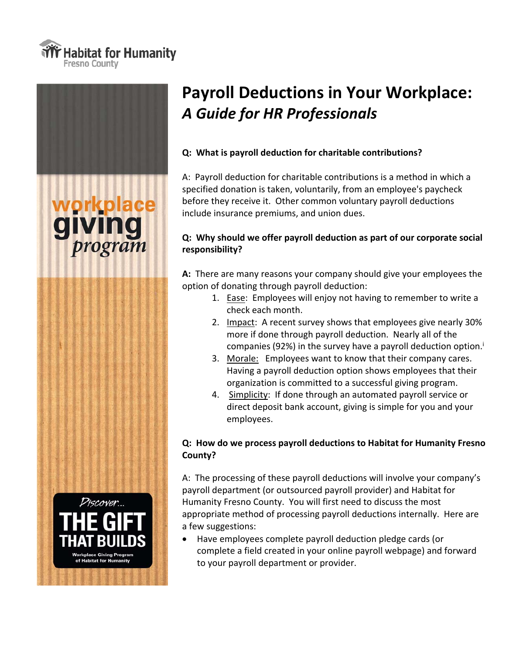





# **Payroll Deductions in Your Workplace:** *A Guide for HR Professionals*

#### **Q: What is payroll deduction for charitable contributions?**

A: Payroll deduction for charitable contributions is a method in which a specified donation is taken, voluntarily, from an employee's paycheck before they receive it. Other common voluntary payroll deductions include insurance premiums, and union dues.

### **Q: Why should we offer payroll deduction as part of our corporate social responsibility?**

**A:** There are many reasons your company should give your employees the option of donating through payroll deduction:

- 1. Ease: Employees will enjoy not having to remember to write a check each month.
- 2. Impact: A recent survey shows that employees give nearly 30% more if done through payroll deduction. Nearly all of the companies (92%) in the survey have a payroll deduction option.i
- 3. Morale: Employees want to know that their company cares. Having a payroll deduction option shows employees that their organization is committed to a successful giving program.
- 4. Simplicity: If done through an automated payroll service or direct deposit bank account, giving is simple for you and your employees.

#### **Q: How do we process payroll deductions to Habitat for Humanity Fresno County?**

A: The processing of these payroll deductions will involve your company's payroll department (or outsourced payroll provider) and Habitat for Humanity Fresno County. You will first need to discuss the most appropriate method of processing payroll deductions internally. Here are a few suggestions:

 Have employees complete payroll deduction pledge cards (or complete a field created in your online payroll webpage) and forward to your payroll department or provider.